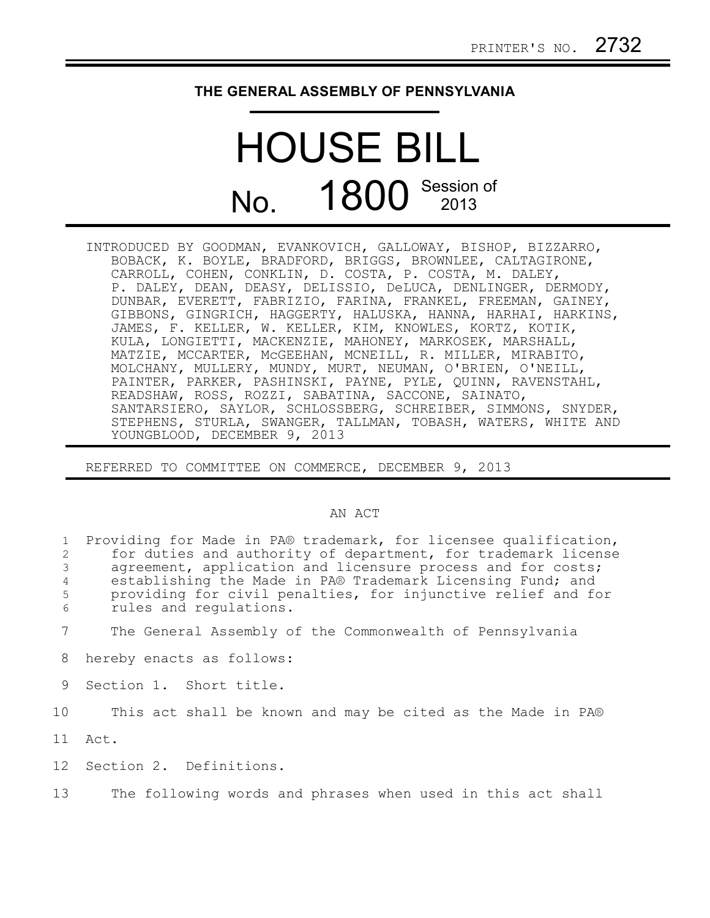## **THE GENERAL ASSEMBLY OF PENNSYLVANIA**

## HOUSE BILL No. 1800 Session of

INTRODUCED BY GOODMAN, EVANKOVICH, GALLOWAY, BISHOP, BIZZARRO, BOBACK, K. BOYLE, BRADFORD, BRIGGS, BROWNLEE, CALTAGIRONE, CARROLL, COHEN, CONKLIN, D. COSTA, P. COSTA, M. DALEY, P. DALEY, DEAN, DEASY, DELISSIO, DeLUCA, DENLINGER, DERMODY, DUNBAR, EVERETT, FABRIZIO, FARINA, FRANKEL, FREEMAN, GAINEY, GIBBONS, GINGRICH, HAGGERTY, HALUSKA, HANNA, HARHAI, HARKINS, JAMES, F. KELLER, W. KELLER, KIM, KNOWLES, KORTZ, KOTIK, KULA, LONGIETTI, MACKENZIE, MAHONEY, MARKOSEK, MARSHALL, MATZIE, MCCARTER, McGEEHAN, MCNEILL, R. MILLER, MIRABITO, MOLCHANY, MULLERY, MUNDY, MURT, NEUMAN, O'BRIEN, O'NEILL, PAINTER, PARKER, PASHINSKI, PAYNE, PYLE, QUINN, RAVENSTAHL, READSHAW, ROSS, ROZZI, SABATINA, SACCONE, SAINATO, SANTARSIERO, SAYLOR, SCHLOSSBERG, SCHREIBER, SIMMONS, SNYDER, STEPHENS, STURLA, SWANGER, TALLMAN, TOBASH, WATERS, WHITE AND YOUNGBLOOD, DECEMBER 9, 2013

REFERRED TO COMMITTEE ON COMMERCE, DECEMBER 9, 2013

## AN ACT

Providing for Made in PA® trademark, for licensee qualification, for duties and authority of department, for trademark license agreement, application and licensure process and for costs; establishing the Made in PA® Trademark Licensing Fund; and providing for civil penalties, for injunctive relief and for rules and regulations. 1 2 3 4 5 6

- The General Assembly of the Commonwealth of Pennsylvania 7
- hereby enacts as follows: 8
- Section 1. Short title. 9

This act shall be known and may be cited as the Made in PA® 10

Act. 11

Section 2. Definitions. 12

The following words and phrases when used in this act shall 13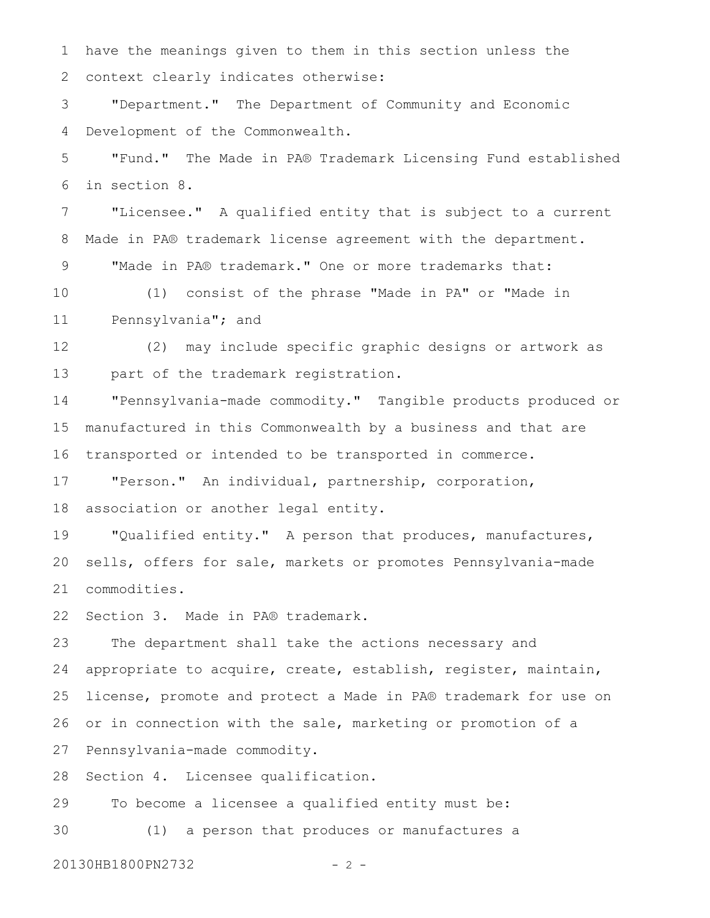have the meanings given to them in this section unless the context clearly indicates otherwise: "Department." The Department of Community and Economic Development of the Commonwealth. "Fund." The Made in PA® Trademark Licensing Fund established in section 8. "Licensee." A qualified entity that is subject to a current Made in PA® trademark license agreement with the department. "Made in PA® trademark." One or more trademarks that: (1) consist of the phrase "Made in PA" or "Made in Pennsylvania"; and (2) may include specific graphic designs or artwork as part of the trademark registration. "Pennsylvania-made commodity." Tangible products produced or manufactured in this Commonwealth by a business and that are transported or intended to be transported in commerce. "Person." An individual, partnership, corporation, association or another legal entity. "Qualified entity." A person that produces, manufactures, sells, offers for sale, markets or promotes Pennsylvania-made commodities. Section 3. Made in PA® trademark. The department shall take the actions necessary and appropriate to acquire, create, establish, register, maintain, license, promote and protect a Made in PA® trademark for use on or in connection with the sale, marketing or promotion of a Pennsylvania-made commodity. Section 4. Licensee qualification. To become a licensee a qualified entity must be: (1) a person that produces or manufactures a 1 2 3 4 5 6 7 8 9 10 11 12 13 14 15 16 17 18 19 20 21 22 23 24 25 26 27 28 29 30

20130HB1800PN2732 - 2 -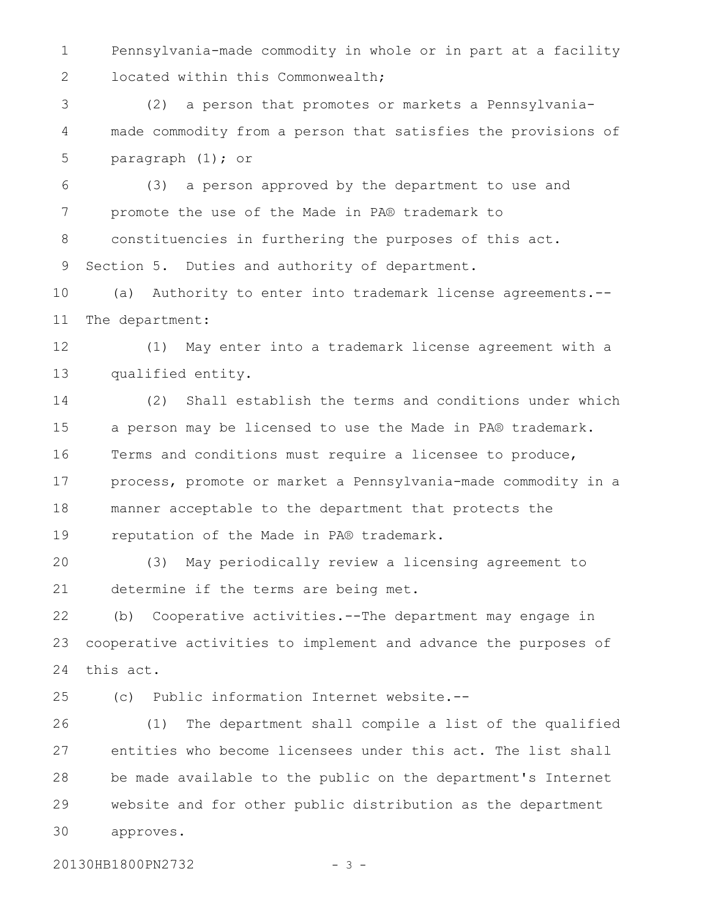Pennsylvania-made commodity in whole or in part at a facility located within this Commonwealth; 1 2

(2) a person that promotes or markets a Pennsylvaniamade commodity from a person that satisfies the provisions of paragraph (1); or 3 4 5

(3) a person approved by the department to use and promote the use of the Made in PA® trademark to constituencies in furthering the purposes of this act. Section 5. Duties and authority of department. 6 7 8 9

(a) Authority to enter into trademark license agreements.-- The department: 10 11

(1) May enter into a trademark license agreement with a qualified entity. 12 13

(2) Shall establish the terms and conditions under which a person may be licensed to use the Made in PA® trademark. Terms and conditions must require a licensee to produce, process, promote or market a Pennsylvania-made commodity in a manner acceptable to the department that protects the reputation of the Made in PA® trademark. 14 15 16 17 18 19

(3) May periodically review a licensing agreement to determine if the terms are being met. 20 21

(b) Cooperative activities.--The department may engage in cooperative activities to implement and advance the purposes of this act. 22 23 24

25

(c) Public information Internet website.--

(1) The department shall compile a list of the qualified entities who become licensees under this act. The list shall be made available to the public on the department's Internet website and for other public distribution as the department approves. 26 27 28 29 30

20130HB1800PN2732 - 3 -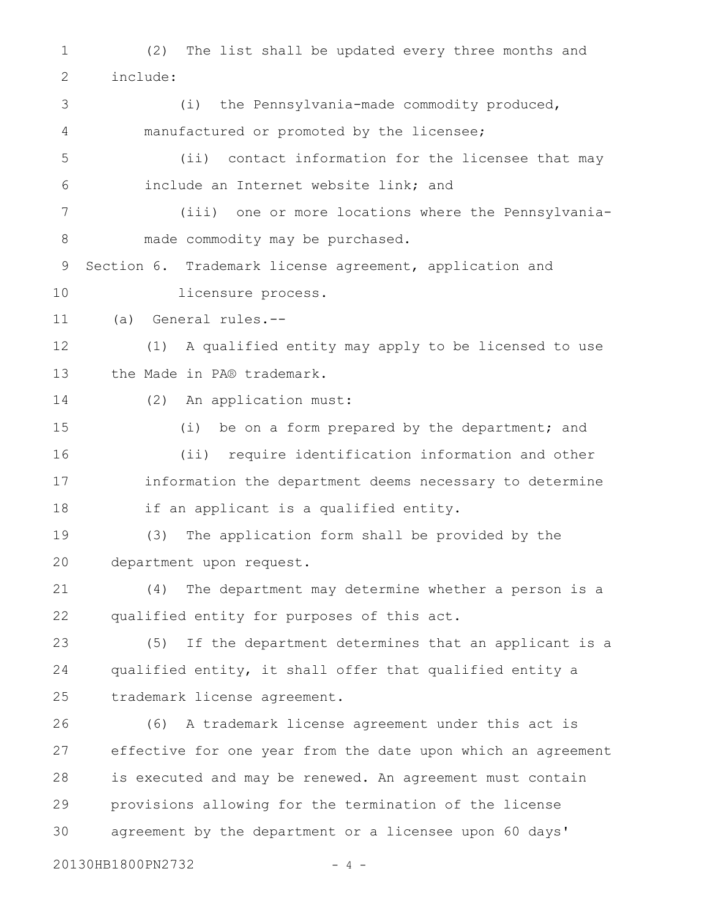(2) The list shall be updated every three months and include: (i) the Pennsylvania-made commodity produced, manufactured or promoted by the licensee; (ii) contact information for the licensee that may include an Internet website link; and (iii) one or more locations where the Pennsylvaniamade commodity may be purchased. Section 6. Trademark license agreement, application and licensure process. (a) General rules.-- (1) A qualified entity may apply to be licensed to use the Made in PA® trademark. (2) An application must: (i) be on a form prepared by the department; and (ii) require identification information and other information the department deems necessary to determine if an applicant is a qualified entity. (3) The application form shall be provided by the department upon request. (4) The department may determine whether a person is a qualified entity for purposes of this act. (5) If the department determines that an applicant is a qualified entity, it shall offer that qualified entity a trademark license agreement. (6) A trademark license agreement under this act is effective for one year from the date upon which an agreement is executed and may be renewed. An agreement must contain provisions allowing for the termination of the license agreement by the department or a licensee upon 60 days' 1 2 3 4 5 6 7 8 9 10 11 12 13 14 15 16 17 18 19 20 21 22 23 24 25 26 27 28 29 30

20130HB1800PN2732 - 4 -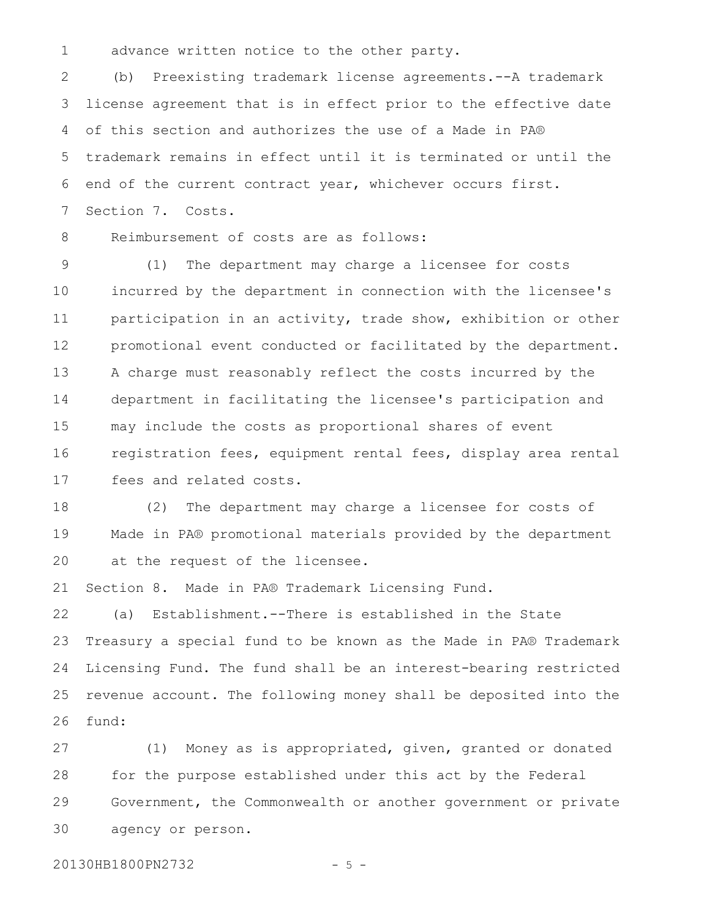advance written notice to the other party. 1

(b) Preexisting trademark license agreements.--A trademark license agreement that is in effect prior to the effective date of this section and authorizes the use of a Made in PA® trademark remains in effect until it is terminated or until the end of the current contract year, whichever occurs first. Section 7. Costs. 2 3 4 5 6 7

8

Reimbursement of costs are as follows:

(1) The department may charge a licensee for costs incurred by the department in connection with the licensee's participation in an activity, trade show, exhibition or other promotional event conducted or facilitated by the department. A charge must reasonably reflect the costs incurred by the department in facilitating the licensee's participation and may include the costs as proportional shares of event registration fees, equipment rental fees, display area rental fees and related costs. 9 10 11 12 13 14 15 16 17

(2) The department may charge a licensee for costs of Made in PA® promotional materials provided by the department at the request of the licensee. 18 19 20

Section 8. Made in PA® Trademark Licensing Fund. 21

(a) Establishment.--There is established in the State Treasury a special fund to be known as the Made in PA® Trademark Licensing Fund. The fund shall be an interest-bearing restricted revenue account. The following money shall be deposited into the fund: 22 23 24 25 26

(1) Money as is appropriated, given, granted or donated for the purpose established under this act by the Federal Government, the Commonwealth or another government or private agency or person. 27 28 29 30

20130HB1800PN2732 - 5 -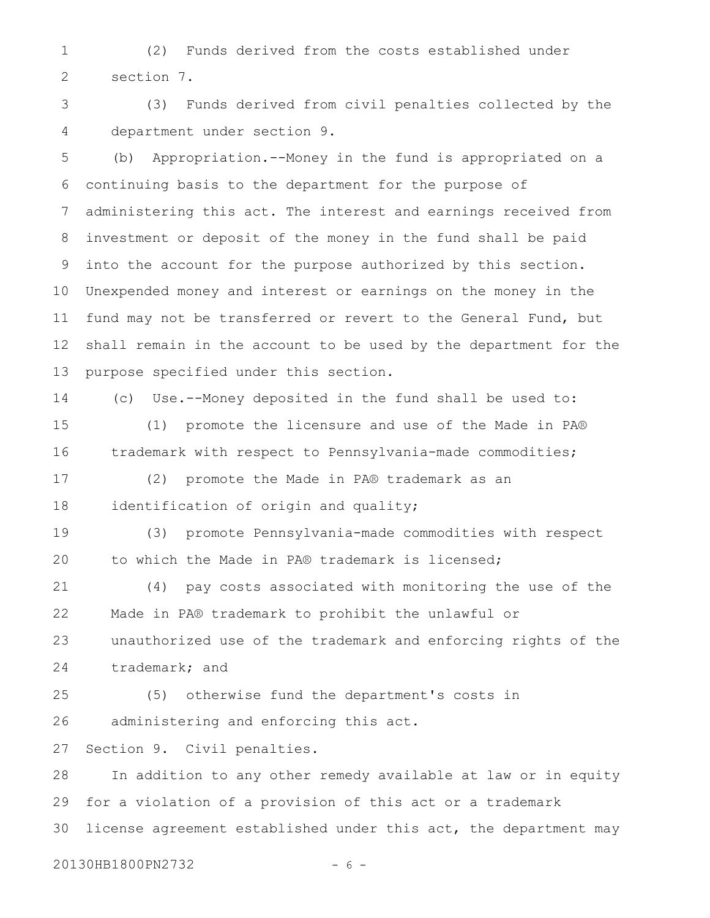(2) Funds derived from the costs established under section 7. 1 2

(3) Funds derived from civil penalties collected by the department under section 9. 3 4

(b) Appropriation.--Money in the fund is appropriated on a continuing basis to the department for the purpose of administering this act. The interest and earnings received from investment or deposit of the money in the fund shall be paid into the account for the purpose authorized by this section. Unexpended money and interest or earnings on the money in the fund may not be transferred or revert to the General Fund, but shall remain in the account to be used by the department for the purpose specified under this section. 5 6 7 8 9 10 11 12 13

14

(c) Use.--Money deposited in the fund shall be used to:

(1) promote the licensure and use of the Made in PA® trademark with respect to Pennsylvania-made commodities; 15 16

(2) promote the Made in PA® trademark as an identification of origin and quality; 17 18

(3) promote Pennsylvania-made commodities with respect to which the Made in PA® trademark is licensed; 19 20

(4) pay costs associated with monitoring the use of the Made in PA® trademark to prohibit the unlawful or unauthorized use of the trademark and enforcing rights of the trademark; and 21 22 23 24

(5) otherwise fund the department's costs in administering and enforcing this act. 25 26

Section 9. Civil penalties. 27

In addition to any other remedy available at law or in equity for a violation of a provision of this act or a trademark license agreement established under this act, the department may 28 29 30

20130HB1800PN2732 - 6 -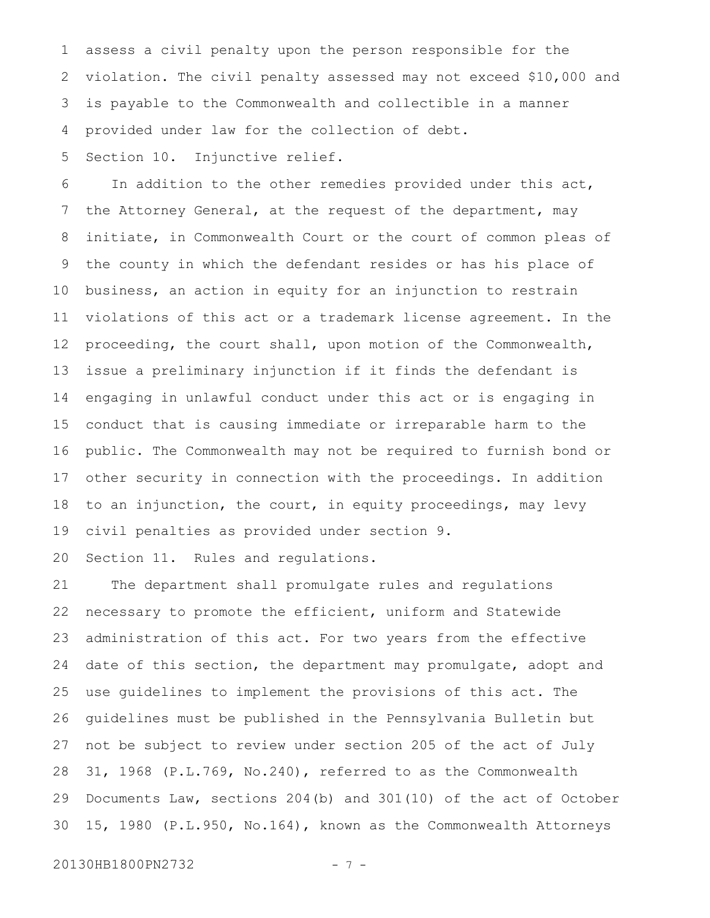assess a civil penalty upon the person responsible for the violation. The civil penalty assessed may not exceed \$10,000 and is payable to the Commonwealth and collectible in a manner provided under law for the collection of debt. 1 2 3 4

Section 10. Injunctive relief. 5

In addition to the other remedies provided under this act, the Attorney General, at the request of the department, may initiate, in Commonwealth Court or the court of common pleas of the county in which the defendant resides or has his place of business, an action in equity for an injunction to restrain violations of this act or a trademark license agreement. In the proceeding, the court shall, upon motion of the Commonwealth, issue a preliminary injunction if it finds the defendant is engaging in unlawful conduct under this act or is engaging in conduct that is causing immediate or irreparable harm to the public. The Commonwealth may not be required to furnish bond or other security in connection with the proceedings. In addition to an injunction, the court, in equity proceedings, may levy civil penalties as provided under section 9. 6 7 8 9 10 11 12 13 14 15 16 17 18 19

Section 11. Rules and regulations. 20

The department shall promulgate rules and regulations necessary to promote the efficient, uniform and Statewide administration of this act. For two years from the effective date of this section, the department may promulgate, adopt and use guidelines to implement the provisions of this act. The guidelines must be published in the Pennsylvania Bulletin but not be subject to review under section 205 of the act of July 31, 1968 (P.L.769, No.240), referred to as the Commonwealth Documents Law, sections 204(b) and 301(10) of the act of October 15, 1980 (P.L.950, No.164), known as the Commonwealth Attorneys 21 22 23 24 25 26 27 28 29 30

20130HB1800PN2732 - 7 -